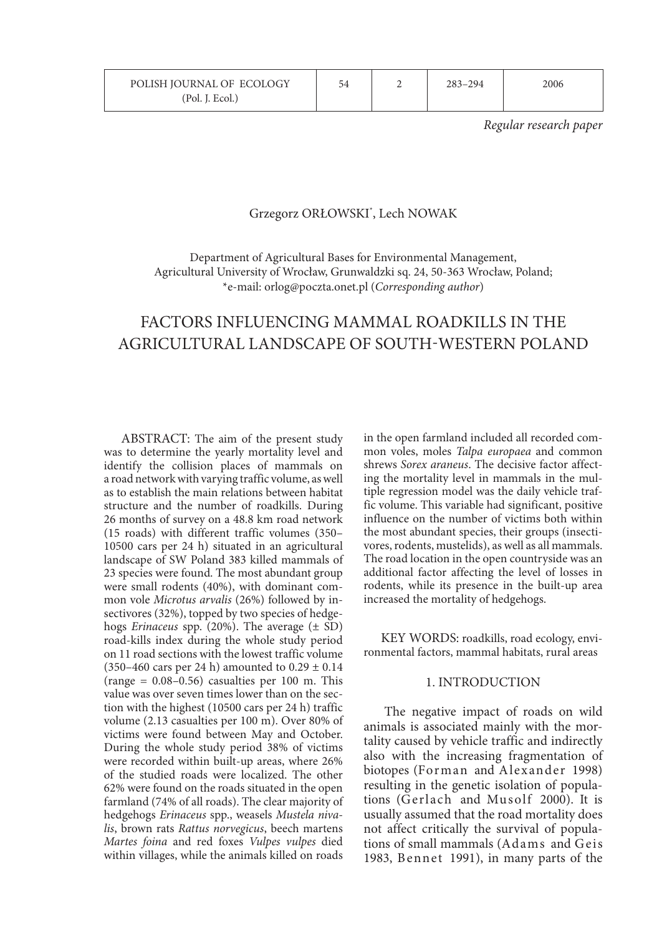| POLISH JOURNAL OF ECOLOGY | 54 | $283 - 294$ | 2006 |
|---------------------------|----|-------------|------|
| (Pol. J. Ecol.)           |    |             |      |

*Regular research paper*

# Grzegorz ORŁOWSKI\* , Lech NOWAK

Department of Agricultural Bases for Environmental Management, Agricultural University of Wrocław, Grunwaldzki sq. 24, 50-363 Wrocław, Poland; \*e-mail: orlog@poczta.onet.pl (*Corresponding author*)

# FACTORS INFLUENCING MAMMAL ROADKILLS IN THE AGRICULTURAL LANDSCAPE OF SOUTH-WESTERN POLAND

ABSTRACT: The aim of the present study was to determine the yearly mortality level and identify the collision places of mammals on a road network with varying traffic volume, as well as to establish the main relations between habitat structure and the number of roadkills. During 26 months of survey on a 48.8 km road network (15 roads) with different traffic volumes (350– 10500 cars per 24 h) situated in an agricultural landscape of SW Poland 383 killed mammals of 23 species were found. The most abundant group were small rodents (40%), with dominant common vole *Microtus arvalis* (26%) followed by insectivores (32%), topped by two species of hedgehogs *Erinaceus* spp. (20%). The average (± SD) road-kills index during the whole study period on 11 road sections with the lowest traffic volume  $(350-460 \text{ cars per } 24 \text{ h})$  amounted to  $0.29 \pm 0.14$ (range  $= 0.08 - 0.56$ ) casualties per 100 m. This value was over seven times lower than on the section with the highest (10500 cars per 24 h) traffic volume (2.13 casualties per 100 m). Over 80% of victims were found between May and October. During the whole study period 38% of victims were recorded within built-up areas, where 26% of the studied roads were localized. The other 62% were found on the roads situated in the open farmland (74% of all roads). The clear majority of hedgehogs *Erinaceus* spp., weasels *Mustela nivalis*, brown rats *Rattus norvegicus*, beech martens *Martes foina* and red foxes *Vulpes vulpes* died within villages, while the animals killed on roads

in the open farmland included all recorded common voles, moles *Talpa europaea* and common shrews *Sorex araneus*. The decisive factor affecting the mortality level in mammals in the multiple regression model was the daily vehicle traffic volume. This variable had significant, positive influence on the number of victims both within the most abundant species, their groups (insectivores, rodents, mustelids), as well as all mammals. The road location in the open countryside was an additional factor affecting the level of losses in rodents, while its presence in the built-up area increased the mortality of hedgehogs.

KEY WORDS: roadkills, road ecology, environmental factors, mammal habitats, rural areas

#### 1. INTRODUCTION

The negative impact of roads on wild animals is associated mainly with the mortality caused by vehicle traffic and indirectly also with the increasing fragmentation of biotopes (Forman and Alexander 1998) resulting in the genetic isolation of populations (Gerlach and Musolf 2000). It is usually assumed that the road mortality does not affect critically the survival of populations of small mammals (Adams and Geis 1983, Bennet 1991), in many parts of the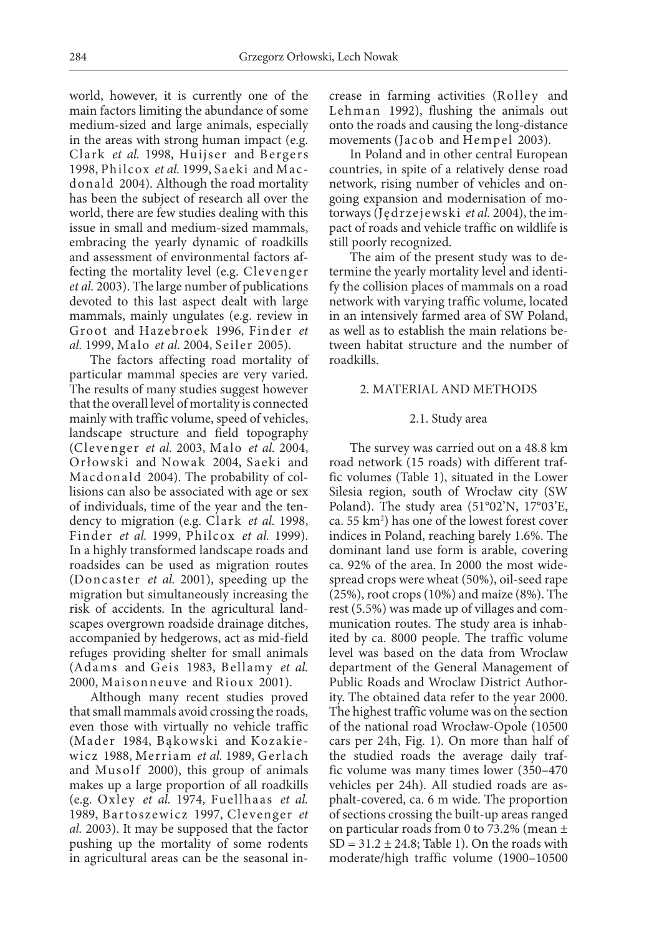world, however, it is currently one of the main factors limiting the abundance of some medium-sized and large animals, especially in the areas with strong human impact (e.g. Clark *et al.* 1998, Huijser and Bergers 1998, Philcox *et al.* 1999, Saeki and Macdonald 2004). Although the road mortality has been the subject of research all over the world, there are few studies dealing with this issue in small and medium-sized mammals, embracing the yearly dynamic of roadkills and assessment of environmental factors affecting the mortality level (e.g. Clevenger *et al.* 2003). The large number of publications devoted to this last aspect dealt with large mammals, mainly ungulates (e.g. review in Groot and Hazebroek 1996, Finder *et al.* 1999, Malo *et al.* 2004, S eiler 2005).

The factors affecting road mortality of particular mammal species are very varied. The results of many studies suggest however that the overall level of mortality is connected mainly with traffic volume, speed of vehicles, landscape structure and field topography (Clevenger *et al.* 2003, Malo *et al.* 2004, Orłowski and Nowak 2004, Saeki and Macdonald 2004). The probability of collisions can also be associated with age or sex of individuals, time of the year and the tendency to migration (e.g. Clark *et al.* 1998, Finder *et al.* 1999, Philcox *et al.* 1999). In a highly transformed landscape roads and roadsides can be used as migration routes (Doncaster *et al.* 2001), speeding up the migration but simultaneously increasing the risk of accidents. In the agricultural landscapes overgrown roadside drainage ditches, accompanied by hedgerows, act as mid-field refuges providing shelter for small animals (Adams and Geis 1983, Bellamy *et al.*) 2000, Maisonneuve and Rioux 2001).

Although many recent studies proved that small mammals avoid crossing the roads, even those with virtually no vehicle traffic (Mader 1984, Bąkowski and Kozakiewicz 1988, Merriam *et al.* 1989, Gerlach and Musolf 2000), this group of animals makes up a large proportion of all roadkills (e.g. Oxley *et al.* 1974, Fuellhaas *et al.* 1989, Bartoszewicz 1997, Clevenger *et al.* 2003). It may be supposed that the factor pushing up the mortality of some rodents in agricultural areas can be the seasonal increase in farming activities (Rolley and Lehman 1992), flushing the animals out onto the roads and causing the long-distance movements (Jacob and Hempel 2003).

In Poland and in other central European countries, in spite of a relatively dense road network, rising number of vehicles and ongoing expansion and modernisation of motorways (Jędrzejewski *et al.* 2004), the impact of roads and vehicle traffic on wildlife is still poorly recognized.

The aim of the present study was to determine the yearly mortality level and identify the collision places of mammals on a road network with varying traffic volume, located in an intensively farmed area of SW Poland, as well as to establish the main relations between habitat structure and the number of roadkills.

## 2. MATERIAL AND METHODS

## 2.1. Study area

The survey was carried out on a 48.8 km road network (15 roads) with different traffic volumes (Table 1), situated in the Lower Silesia region, south of Wrocław city (SW Poland). The study area (51°02'N, 17°03'E,  $ca. 55 km<sup>2</sup>$ ) has one of the lowest forest cover indices in Poland, reaching barely 1.6%. The dominant land use form is arable, covering ca. 92% of the area. In 2000 the most widespread crops were wheat (50%), oil-seed rape (25%), root crops (10%) and maize (8%). The rest (5.5%) was made up of villages and communication routes. The study area is inhabited by ca. 8000 people. The traffic volume level was based on the data from Wroclaw department of the General Management of Public Roads and Wroclaw District Authority. The obtained data refer to the year 2000. The highest traffic volume was on the section of the national road Wrocław-Opole (10500 cars per 24h, Fig. 1). On more than half of the studied roads the average daily traffic volume was many times lower (350–470 vehicles per 24h). All studied roads are asphalt-covered, ca. 6 m wide. The proportion of sections crossing the built-up areas ranged on particular roads from 0 to 73.2% (mean ±  $SD = 31.2 \pm 24.8$ ; Table 1). On the roads with moderate/high traffic volume (1900–10500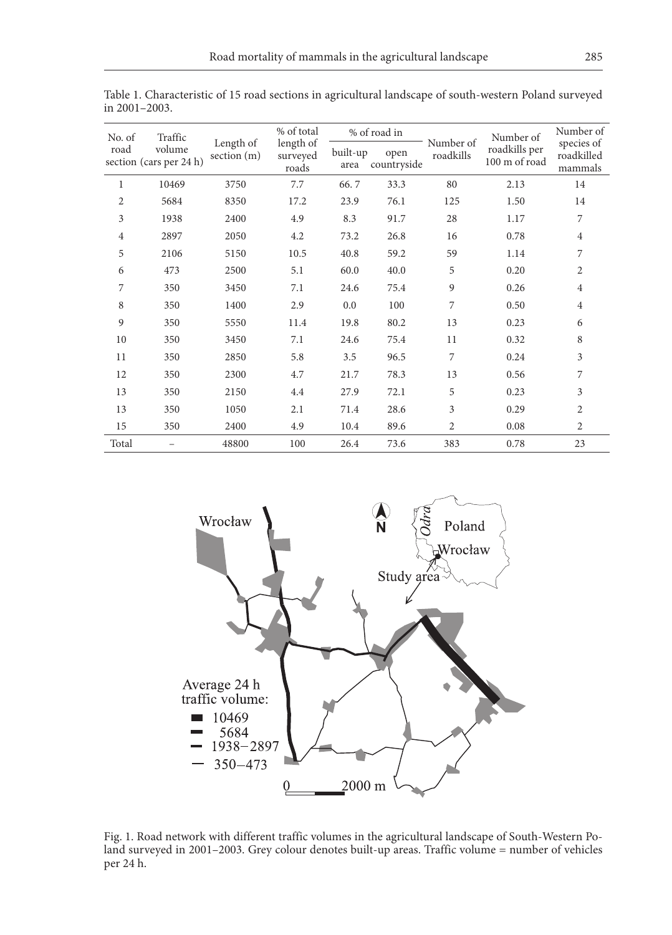| Traffic<br>No. of |                                   |                            | % of total                     |                                         | % of road in |                        | Number of                      | Number of                           |
|-------------------|-----------------------------------|----------------------------|--------------------------------|-----------------------------------------|--------------|------------------------|--------------------------------|-------------------------------------|
| road              | volume<br>section (cars per 24 h) | Length of<br>section $(m)$ | length of<br>surveyed<br>roads | built-up<br>open<br>countryside<br>area |              | Number of<br>roadkills | roadkills per<br>100 m of road | species of<br>roadkilled<br>mammals |
| $\mathbf{1}$      | 10469                             | 3750                       | 7.7                            | 66.7                                    | 33.3         | 80                     | 2.13                           | 14                                  |
| 2                 | 5684                              | 8350                       | 17.2                           | 23.9                                    | 76.1         | 125                    | 1.50                           | 14                                  |
| 3                 | 1938                              | 2400                       | 4.9                            | 8.3                                     | 91.7         | 28                     | 1.17                           | 7                                   |
| $\overline{4}$    | 2897                              | 2050                       | 4.2                            | 73.2                                    | 26.8         | 16                     | 0.78                           | $\overline{4}$                      |
| 5                 | 2106                              | 5150                       | 10.5                           | 40.8                                    | 59.2         | 59                     | 1.14                           | 7                                   |
| 6                 | 473                               | 2500                       | 5.1                            | 60.0                                    | 40.0         | 5                      | 0.20                           | 2                                   |
| 7                 | 350                               | 3450                       | 7.1                            | 24.6                                    | 75.4         | 9                      | 0.26                           | $\overline{4}$                      |
| 8                 | 350                               | 1400                       | 2.9                            | 0.0                                     | 100          | 7                      | 0.50                           | $\overline{4}$                      |
| 9                 | 350                               | 5550                       | 11.4                           | 19.8                                    | 80.2         | 13                     | 0.23                           | 6                                   |
| 10                | 350                               | 3450                       | 7.1                            | 24.6                                    | 75.4         | 11                     | 0.32                           | 8                                   |
| 11                | 350                               | 2850                       | 5.8                            | 3.5                                     | 96.5         | 7                      | 0.24                           | 3                                   |
| 12                | 350                               | 2300                       | 4.7                            | 21.7                                    | 78.3         | 13                     | 0.56                           | 7                                   |
| 13                | 350                               | 2150                       | 4.4                            | 27.9                                    | 72.1         | 5                      | 0.23                           | 3                                   |
| 13                | 350                               | 1050                       | 2.1                            | 71.4                                    | 28.6         | 3                      | 0.29                           | 2                                   |
| 15                | 350                               | 2400                       | 4.9                            | 10.4                                    | 89.6         | $\overline{2}$         | 0.08                           | 2                                   |
| Total             |                                   | 48800                      | 100                            | 26.4                                    | 73.6         | 383                    | 0.78                           | 23                                  |

Table 1. Characteristic of 15 road sections in agricultural landscape of south-western Poland surveyed in 2001–2003.



Fig. 1. Road network with different traffic volumes in the agricultural landscape of South-Western Poland surveyed in 2001–2003. Grey colour denotes built-up areas. Traffic volume = number of vehicles per 24 h.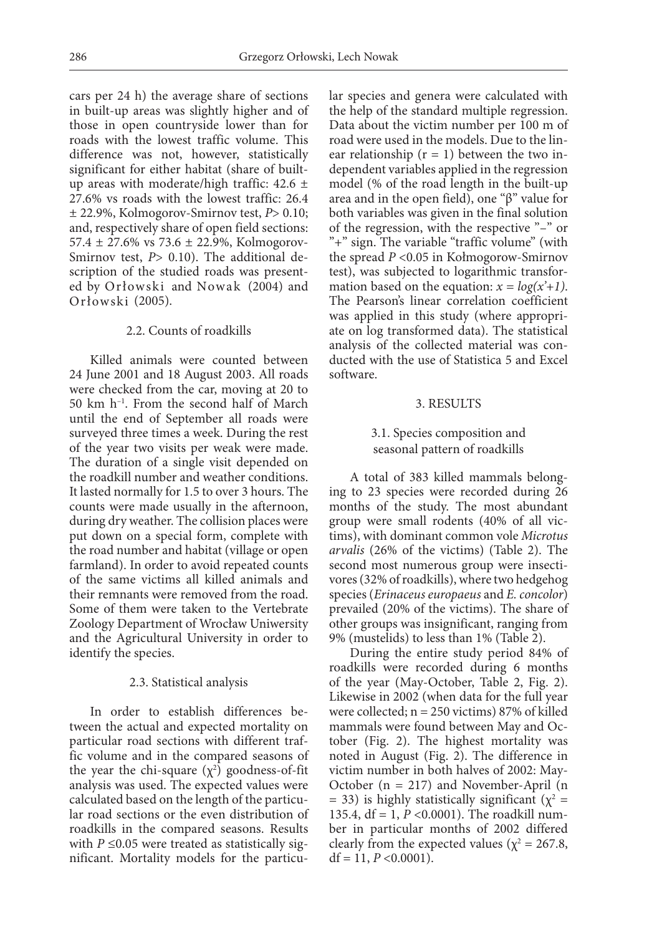cars per 24 h) the average share of sections in built-up areas was slightly higher and of those in open countryside lower than for roads with the lowest traffic volume. This difference was not, however, statistically significant for either habitat (share of builtup areas with moderate/high traffic:  $42.6 \pm$ 27.6% vs roads with the lowest traffic: 26.4 ± 22.9%, Kolmogorov-Smirnov test, *P*> 0.10; and, respectively share of open field sections:  $57.4 \pm 27.6\%$  vs  $73.6 \pm 22.9\%$ , Kolmogorov-Smirnov test, *P*> 0.10). The additional description of the studied roads was presented by Orłowski and Nowak (2004) and Orłowski (2005).

# 2.2. Counts of roadkills

Killed animals were counted between 24 June 2001 and 18 August 2003. All roads were checked from the car, moving at 20 to  $50 \text{ km } \text{h}^{-1}$ . From the second half of March until the end of September all roads were surveyed three times a week. During the rest of the year two visits per weak were made. The duration of a single visit depended on the roadkill number and weather conditions. It lasted normally for 1.5 to over 3 hours. The counts were made usually in the afternoon, during dry weather. The collision places were put down on a special form, complete with the road number and habitat (village or open farmland). In order to avoid repeated counts of the same victims all killed animals and their remnants were removed from the road. Some of them were taken to the Vertebrate Zoology Department of Wrocław Uniwersity and the Agricultural University in order to identify the species.

#### 2.3. Statistical analysis

In order to establish differences between the actual and expected mortality on particular road sections with different traffic volume and in the compared seasons of the year the chi-square  $(\chi^2)$  goodness-of-fit analysis was used. The expected values were calculated based on the length of the particular road sections or the even distribution of roadkills in the compared seasons. Results with  $P \leq 0.05$  were treated as statistically significant. Mortality models for the particular species and genera were calculated with the help of the standard multiple regression. Data about the victim number per 100 m of road were used in the models. Due to the linear relationship  $(r = 1)$  between the two independent variables applied in the regression model (% of the road length in the built-up area and in the open field), one "β" value for both variables was given in the final solution of the regression, with the respective "–" or "+" sign. The variable "traffic volume" (with the spread *P* <0.05 in Kołmogorow-Smirnov test), was subjected to logarithmic transformation based on the equation:  $x = log(x^2+1)$ . The Pearson's linear correlation coefficient was applied in this study (where appropriate on log transformed data). The statistical analysis of the collected material was conducted with the use of Statistica 5 and Excel software.

## 3. RESULTS

# 3.1. Species composition and seasonal pattern of roadkills

A total of 383 killed mammals belonging to 23 species were recorded during 26 months of the study. The most abundant group were small rodents (40% of all victims), with dominant common vole *Microtus arvalis* (26% of the victims) (Table 2). The second most numerous group were insectivores (32% of roadkills), where two hedgehog species (*Erinaceus europaeus* and *E. concolor*) prevailed (20% of the victims). The share of other groups was insignificant, ranging from 9% (mustelids) to less than 1% (Table 2).

During the entire study period 84% of roadkills were recorded during 6 months of the year (May-October, Table 2, Fig. 2). Likewise in 2002 (when data for the full year were collected; n = 250 victims) 87% of killed mammals were found between May and October (Fig. 2). The highest mortality was noted in August (Fig. 2). The difference in victim number in both halves of 2002: May-October (n = 217) and November-April (n  $=$  33) is highly statistically significant ( $χ² =$ 135.4, df = 1, *P* <0.0001). The roadkill number in particular months of 2002 differed clearly from the expected values ( $\chi^2 = 267.8$ , df = 11,  $P < 0.0001$ ).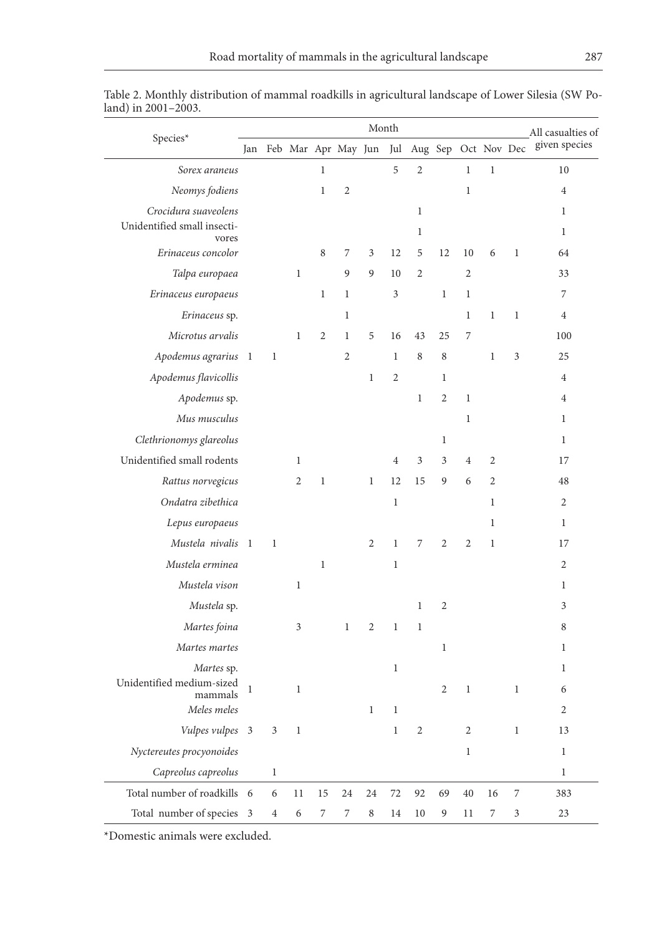|                                      |   |                |              |              |                | Month          |                |                                                 |                |                |                |              | All casualties of |
|--------------------------------------|---|----------------|--------------|--------------|----------------|----------------|----------------|-------------------------------------------------|----------------|----------------|----------------|--------------|-------------------|
| Species*                             |   |                |              |              |                |                |                | Jan Feb Mar Apr May Jun Jul Aug Sep Oct Nov Dec |                |                |                |              | given species     |
| Sorex araneus                        |   |                |              | $\mathbf{1}$ |                |                | 5              | $\sqrt{2}$                                      |                | $\mathbf{1}$   | $\mathbf{1}$   |              | 10                |
| Neomys fodiens                       |   |                |              | $\mathbf{1}$ | $\sqrt{2}$     |                |                |                                                 |                | $\mathbf{1}$   |                |              | 4                 |
| Crocidura suaveolens                 |   |                |              |              |                |                |                | $\mathbf{1}$                                    |                |                |                |              | 1                 |
| Unidentified small insecti-<br>vores |   |                |              |              |                |                |                | $\mathbf{1}$                                    |                |                |                |              | $\mathbf{1}$      |
| Erinaceus concolor                   |   |                |              | 8            | 7              | 3              | 12             | 5                                               | 12             | 10             | 6              | $\mathbf{1}$ | 64                |
| Talpa europaea                       |   |                | $\mathbf{1}$ |              | 9              | 9              | 10             | 2                                               |                | $\overline{2}$ |                |              | 33                |
| Erinaceus europaeus                  |   |                |              | $\mathbf{1}$ | $\mathbf{1}$   |                | $\mathfrak{Z}$ |                                                 | $\mathbf{1}$   | $\mathbf{1}$   |                |              | 7                 |
| Erinaceus sp.                        |   |                |              |              | $\mathbf{1}$   |                |                |                                                 |                | $\mathbf{1}$   | $\mathbf{1}$   | $\mathbf{1}$ | 4                 |
| Microtus arvalis                     |   |                | $\mathbf{1}$ | 2            | $\mathbf{1}$   | 5              | 16             | 43                                              | 25             | 7              |                |              | 100               |
| Apodemus agrarius 1                  |   | $\mathbf{1}$   |              |              | $\overline{c}$ |                | $\mathbf{1}$   | 8                                               | 8              |                | $\mathbf{1}$   | 3            | 25                |
| Apodemus flavicollis                 |   |                |              |              |                | $\mathbf{1}$   | $\overline{2}$ |                                                 | 1              |                |                |              | 4                 |
| Apodemus sp.                         |   |                |              |              |                |                |                | $\mathbf{1}$                                    | 2              | $\mathbf{1}$   |                |              | $\overline{4}$    |
| Mus musculus                         |   |                |              |              |                |                |                |                                                 |                | $\mathbf{1}$   |                |              | $\mathbf{1}$      |
| Clethrionomys glareolus              |   |                |              |              |                |                |                |                                                 | 1              |                |                |              | 1                 |
| Unidentified small rodents           |   |                | $\mathbf{1}$ |              |                |                | $\overline{4}$ | 3                                               | 3              | $\overline{4}$ | $\overline{2}$ |              | 17                |
| Rattus norvegicus                    |   |                | 2            | $\mathbf{1}$ |                | $\mathbf{1}$   | 12             | 15                                              | 9              | 6              | 2              |              | 48                |
| Ondatra zibethica                    |   |                |              |              |                |                | $\mathbf{1}$   |                                                 |                |                | $\mathbf{1}$   |              | 2                 |
| Lepus europaeus                      |   |                |              |              |                |                |                |                                                 |                |                | $\mathbf{1}$   |              | $\mathbf{1}$      |
| Mustela nivalis 1                    |   | $\mathbf{1}$   |              |              |                | $\overline{2}$ | $\mathbf{1}$   | 7                                               | 2              | $\overline{2}$ | $\mathbf{1}$   |              | 17                |
| Mustela erminea                      |   |                |              | $\mathbf{1}$ |                |                | 1              |                                                 |                |                |                |              | 2                 |
| Mustela vison                        |   |                | $\mathbf{1}$ |              |                |                |                |                                                 |                |                |                |              | $\mathbf{1}$      |
| Mustela sp.                          |   |                |              |              |                |                |                | $\mathbf{1}$                                    | $\overline{2}$ |                |                |              | 3                 |
| Martes foina                         |   |                | 3            |              | 1              | 2              | $\mathbf{1}$   | 1                                               |                |                |                |              | 8                 |
| Martes martes                        |   |                |              |              |                |                |                |                                                 | $\mathbf{1}$   |                |                |              | $\mathbf{1}$      |
| Martes sp.                           |   |                |              |              |                |                | $\mathbf{1}$   |                                                 |                |                |                |              | $\mathbf 1$       |
| Unidentified medium-sized<br>mammals | 1 |                | 1            |              |                |                |                |                                                 | $\overline{2}$ | $\mathbf{1}$   |                | $\mathbf{1}$ | 6                 |
| Meles meles                          |   |                |              |              |                | $\mathbf{1}$   | $\mathbf{1}$   |                                                 |                |                |                |              | $\overline{2}$    |
| Vulpes vulpes 3                      |   | 3              | $\mathbf{1}$ |              |                |                | $\mathbf{1}$   | $\overline{2}$                                  |                | $\overline{2}$ |                | $\mathbf{1}$ | 13                |
| Nyctereutes procyonoides             |   |                |              |              |                |                |                |                                                 |                | $\mathbf{1}$   |                |              | $\mathbf{1}$      |
| Capreolus capreolus                  |   | $\mathbf{1}$   |              |              |                |                |                |                                                 |                |                |                |              | $\mathbf{1}$      |
| Total number of roadkills 6          |   | 6              | 11           | 15           | 24             | 24             | 72             | 92                                              | 69             | $40\,$         | 16             | 7            | 383               |
| Total number of species 3            |   | $\overline{4}$ | 6            | 7            | 7              | $\,8\,$        | 14             | 10                                              | 9              | 11             | 7              | 3            | 23                |

| Table 2. Monthly distribution of mammal roadkills in agricultural landscape of Lower Silesia (SW Po- |  |  |  |
|------------------------------------------------------------------------------------------------------|--|--|--|
| land) in $2001 - 2003$ .                                                                             |  |  |  |

\*Domestic animals were excluded.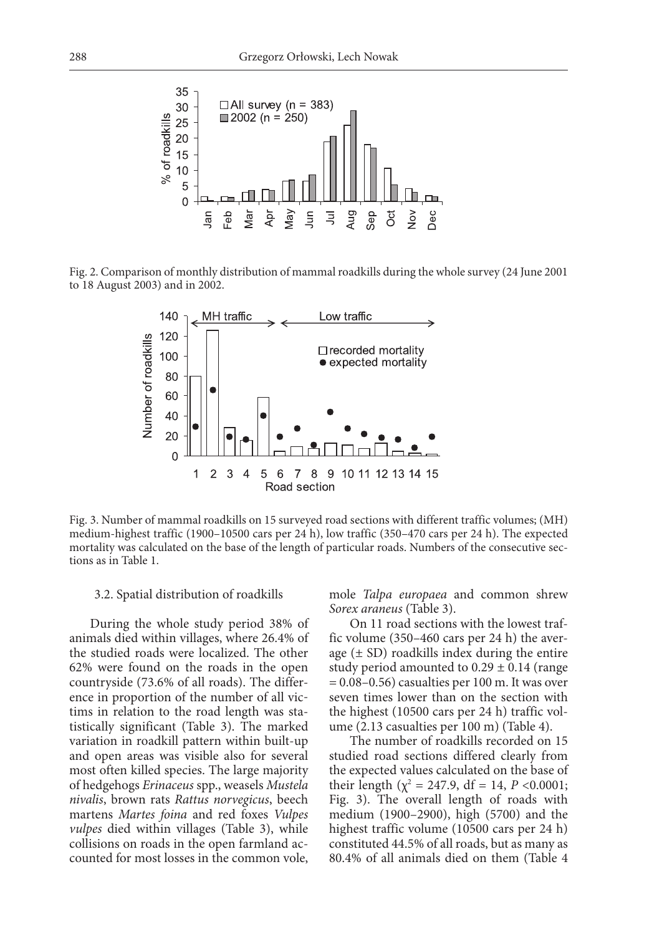

Fig. 2. Comparison of monthly distribution of mammal roadkills during the whole survey (24 June 2001 to 18 August 2003) and in 2002.



Fig. 3. Number of mammal roadkills on 15 surveyed road sections with different traffic volumes; (MH) medium-highest traffic (1900–10500 cars per 24 h), low traffic (350–470 cars per 24 h). The expected mortality was calculated on the base of the length of particular roads. Numbers of the consecutive sections as in Table 1.

#### 3.2. Spatial distribution of roadkills

During the whole study period 38% of animals died within villages, where 26.4% of the studied roads were localized. The other 62% were found on the roads in the open countryside (73.6% of all roads). The difference in proportion of the number of all victims in relation to the road length was statistically significant (Table 3). The marked variation in roadkill pattern within built-up and open areas was visible also for several most often killed species. The large majority of hedgehogs *Erinaceus* spp., weasels *Mustela nivalis*, brown rats *Rattus norvegicus*, beech martens *Martes foina* and red foxes *Vulpes vulpes* died within villages (Table 3), while collisions on roads in the open farmland accounted for most losses in the common vole,

mole *Talpa europaea* and common shrew *Sorex araneus* (Table 3).

On 11 road sections with the lowest traffic volume (350–460 cars per 24 h) the average  $(\pm SD)$  roadkills index during the entire study period amounted to  $0.29 \pm 0.14$  (range = 0.08–0.56) casualties per 100 m. It was over seven times lower than on the section with the highest (10500 cars per 24 h) traffic volume (2.13 casualties per 100 m) (Table 4).

The number of roadkills recorded on 15 studied road sections differed clearly from the expected values calculated on the base of their length ( $\chi^2$  = 247.9, df = 14, *P* <0.0001; Fig. 3). The overall length of roads with medium (1900–2900), high (5700) and the highest traffic volume (10500 cars per 24 h) constituted 44.5% of all roads, but as many as 80.4% of all animals died on them (Table 4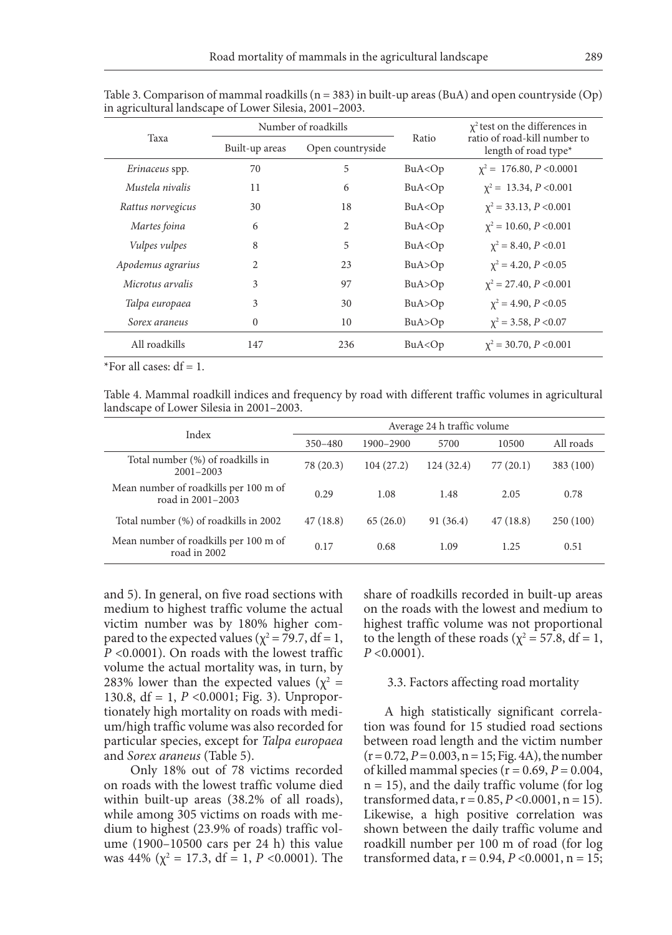|                      |                                    | Number of roadkills |          | $\chi^2$ test on the differences in<br>ratio of road-kill number to |  |
|----------------------|------------------------------------|---------------------|----------|---------------------------------------------------------------------|--|
| Taxa                 | Built-up areas<br>Open countryside |                     | Ratio    | length of road type*                                                |  |
| Erinaceus spp.       | 70                                 | 5                   | BuA < Op | $\chi^2$ = 176.80, P < 0.0001                                       |  |
| Mustela nivalis      | 11                                 | 6                   | BuA < Op | $\chi^2$ = 13.34, P < 0.001                                         |  |
| Rattus norvegicus    | 30                                 | 18                  | BuA < Op | $\chi^2$ = 33.13, P < 0.001                                         |  |
| Martes foina         | 6                                  | 2                   | BuA < Op | $\chi^2 = 10.60, P < 0.001$                                         |  |
| <i>Vulpes vulpes</i> | 8                                  | 5                   | BuA < Op | $\chi^2$ = 8.40, P < 0.01                                           |  |
| Apodemus agrarius    | $\overline{c}$                     | 23                  | BuA>Op   | $\chi^2 = 4.20, P < 0.05$                                           |  |
| Microtus arvalis     | 3                                  | 97                  | BuA>Op   | $\chi^2$ = 27.40, P < 0.001                                         |  |
| Talpa europaea       | 3                                  | 30                  | BuA>Op   | $\chi^2 = 4.90, P < 0.05$                                           |  |
| Sorex araneus        | $\mathbf{0}$                       | 10                  | BuA >Op  | $\chi^2$ = 3.58, P < 0.07                                           |  |
| All roadkills        | 147                                | 236                 | BuA < Op | $\chi^2$ = 30.70, P < 0.001                                         |  |

Table 3. Comparison of mammal roadkills ( $n = 383$ ) in built-up areas (BuA) and open countryside (Op) in agricultural landscape of Lower Silesia, 2001–2003.

\*For all cases:  $df = 1$ .

Table 4. Mammal roadkill indices and frequency by road with different traffic volumes in agricultural landscape of Lower Silesia in 2001–2003.

| Index                                                      | Average 24 h traffic volume |               |           |          |           |  |  |  |
|------------------------------------------------------------|-----------------------------|---------------|-----------|----------|-----------|--|--|--|
|                                                            | $350 - 480$                 | $1900 - 2900$ | 5700      | 10500    | All roads |  |  |  |
| Total number (%) of roadkills in<br>$2001 - 2003$          | 78 (20.3)                   | 104(27.2)     | 124(32.4) | 77(20.1) | 383 (100) |  |  |  |
| Mean number of roadkills per 100 m of<br>road in 2001-2003 | 0.29                        | 1.08          | 1.48      | 2.05     | 0.78      |  |  |  |
| Total number (%) of roadkills in 2002                      | 47(18.8)                    | 65(26.0)      | 91 (36.4) | 47(18.8) | 250 (100) |  |  |  |
| Mean number of roadkills per 100 m of<br>road in 2002      | 0.17                        | 0.68          | 1.09      | 1.25     | 0.51      |  |  |  |

and 5). In general, on five road sections with medium to highest traffic volume the actual victim number was by 180% higher compared to the expected values ( $\chi^2$  = 79.7, df = 1, *P* <0.0001). On roads with the lowest traffic volume the actual mortality was, in turn, by 283% lower than the expected values ( $\chi^2$  = 130.8, df = 1, *P* <0.0001; Fig. 3). Unproportionately high mortality on roads with medium/high traffic volume was also recorded for particular species, except for *Talpa europaea* and *Sorex araneus* (Table 5).

 Only 18% out of 78 victims recorded on roads with the lowest traffic volume died within built-up areas (38.2% of all roads), while among 305 victims on roads with medium to highest (23.9% of roads) traffic volume (1900–10500 cars per 24 h) this value was 44% ( $\chi^2 = 17.3$ , df = 1, *P* <0.0001). The share of roadkills recorded in built-up areas on the roads with the lowest and medium to highest traffic volume was not proportional to the length of these roads ( $\chi^2$  = 57.8, df = 1, *P* <0.0001).

#### 3.3. Factors affecting road mortality

A high statistically significant correlation was found for 15 studied road sections between road length and the victim number  $(r = 0.72, P = 0.003, n = 15; Fig. 4A)$ , the number of killed mammal species ( $r = 0.69$ ,  $P = 0.004$ ,  $n = 15$ ), and the daily traffic volume (for log transformed data,  $r = 0.85$ ,  $P < 0.0001$ ,  $n = 15$ ). Likewise, a high positive correlation was shown between the daily traffic volume and roadkill number per 100 m of road (for log transformed data, r = 0.94, *P* <0.0001, n = 15;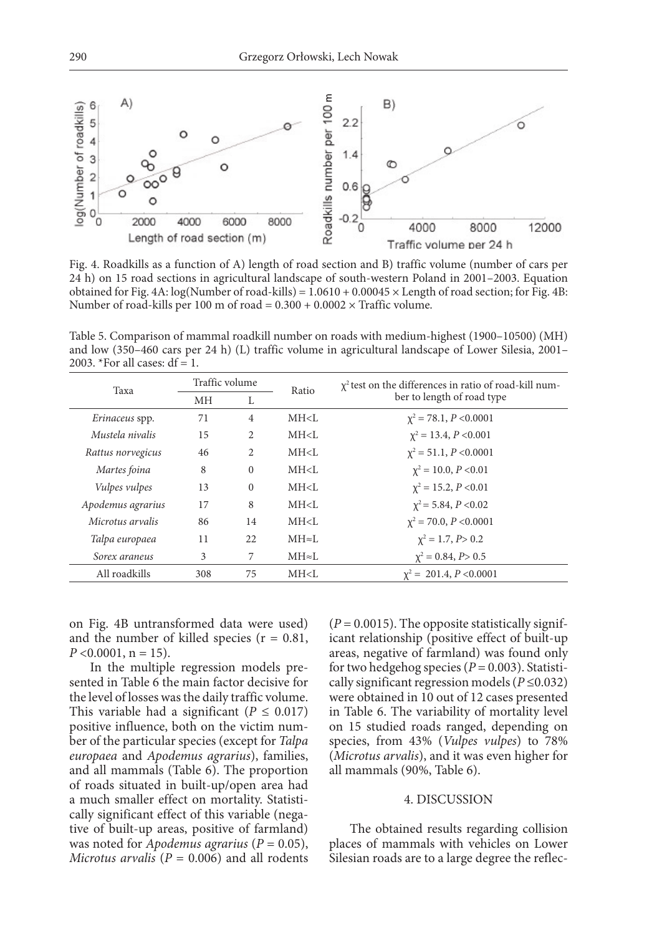

Fig. 4. Roadkills as a function of A) length of road section and B) traffic volume (number of cars per 24 h) on 15 road sections in agricultural landscape of south-western Poland in 2001–2003. Equation obtained for Fig. 4A:  $log(Number$  of road-kills) =  $1.0610 + 0.00045 \times Length$  of road section; for Fig. 4B: Number of road-kills per 100 m of road =  $0.300 + 0.0002 \times$  Traffic volume.

Table 5. Comparison of mammal roadkill number on roads with medium-highest (1900–10500) (MH) and low (350–460 cars per 24 h) (L) traffic volume in agricultural landscape of Lower Silesia, 2001– 2003. \*For all cases:  $df = 1$ .

| Taxa                 | Traffic volume |                | Ratio           | $\chi^2$ test on the differences in ratio of road-kill num- |  |  |
|----------------------|----------------|----------------|-----------------|-------------------------------------------------------------|--|--|
|                      | MH             | L              |                 | ber to length of road type                                  |  |  |
| Erinaceus spp.       | 71             | $\overline{4}$ | MH < L          | $\chi^2$ = 78.1, P < 0.0001                                 |  |  |
| Mustela nivalis      | 15             | 2              | $MH < I$ .      | $\chi^2 = 13.4, P < 0.001$                                  |  |  |
| Rattus norvegicus    | 46             | 2              | MH < L          | $\chi^2$ = 51.1, P < 0.0001                                 |  |  |
| Martes foina         | 8              | $\Omega$       | MH < L          | $\chi^2 = 10.0, P < 0.01$                                   |  |  |
| <i>Vulpes vulpes</i> | 13             | $\Omega$       | MH < L          | $\chi^2 = 15.2, P < 0.01$                                   |  |  |
| Apodemus agrarius    | 17             | 8              | MH < L          | $\chi^2$ = 5.84, P < 0.02                                   |  |  |
| Microtus arvalis     | 86             | 14             | MH < L          | $\chi^2$ = 70.0, P < 0.0001                                 |  |  |
| Talpa europaea       | 11             | 22             | $MH \approx L$  | $\chi^2 = 1.7, P > 0.2$                                     |  |  |
| Sorex araneus        | 3              | 7              | $MH \approx L$  | $\gamma^2 = 0.84, P > 0.5$                                  |  |  |
| All roadkills        | 308            | 75             | MH <sub>L</sub> | $x^2 = 201.4, P < 0.0001$                                   |  |  |

on Fig. 4B untransformed data were used) and the number of killed species  $(r = 0.81,$  $P < 0.0001$ , n = 15).

In the multiple regression models presented in Table 6 the main factor decisive for the level of losses was the daily traffic volume. This variable had a significant ( $P \leq 0.017$ ) positive influence, both on the victim number of the particular species (except for *Talpa europaea* and *Apodemus agrarius*), families, and all mammals (Table 6). The proportion of roads situated in built-up/open area had a much smaller effect on mortality. Statistically significant effect of this variable (negative of built-up areas, positive of farmland) was noted for *Apodemus agrarius* (*P* = 0.05), *Microtus arvalis* (*P* = 0.006) and all rodents  $(P = 0.0015)$ . The opposite statistically significant relationship (positive effect of built-up areas, negative of farmland) was found only for two hedgehog species ( $P = 0.003$ ). Statistically significant regression models (*P* ≤0.032) were obtained in 10 out of 12 cases presented in Table 6. The variability of mortality level on 15 studied roads ranged, depending on species, from 43% (*Vulpes vulpes*) to 78% (*Microtus arvalis*), and it was even higher for all mammals (90%, Table 6).

#### 4. DISCUSSION

The obtained results regarding collision places of mammals with vehicles on Lower Silesian roads are to a large degree the reflec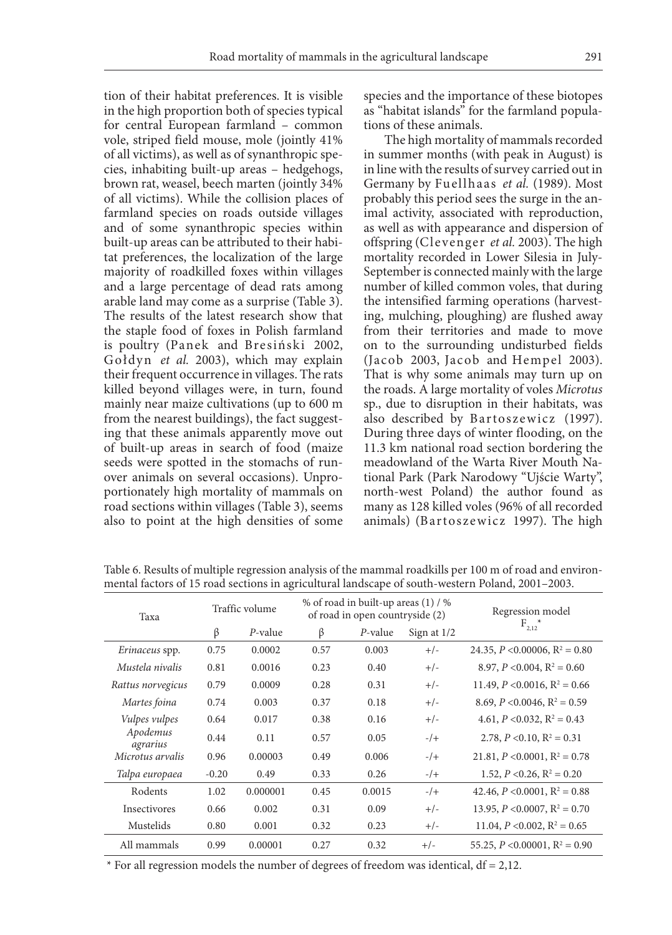tion of their habitat preferences. It is visible in the high proportion both of species typical for central European farmland – common vole, striped field mouse, mole (jointly 41% of all victims), as well as of synanthropic species, inhabiting built-up areas – hedgehogs, brown rat, weasel, beech marten (jointly 34% of all victims). While the collision places of farmland species on roads outside villages and of some synanthropic species within built-up areas can be attributed to their habitat preferences, the localization of the large majority of roadkilled foxes within villages and a large percentage of dead rats among arable land may come as a surprise (Table 3). The results of the latest research show that the staple food of foxes in Polish farmland is poultry (Panek and Bresiński 2002, Gołdyn *et al.* 2003), which may explain their frequent occurrence in villages. The rats killed beyond villages were, in turn, found mainly near maize cultivations (up to 600 m from the nearest buildings), the fact suggesting that these animals apparently move out of built-up areas in search of food (maize seeds were spotted in the stomachs of runover animals on several occasions). Unproportionately high mortality of mammals on road sections within villages (Table 3), seems also to point at the high densities of some

species and the importance of these biotopes as "habitat islands" for the farmland populations of these animals.

The high mortality of mammals recorded in summer months (with peak in August) is in line with the results of survey carried out in Germany by Fuellhaas *et al.* (1989). Most probably this period sees the surge in the animal activity, associated with reproduction, as well as with appearance and dispersion of offspring (Clevenger *et al.* 2003). The high mortality recorded in Lower Silesia in July-September is connected mainly with the large number of killed common voles, that during the intensified farming operations (harvesting, mulching, ploughing) are flushed away from their territories and made to move on to the surrounding undisturbed fields (Jacob 2003, Jacob and Hempel 2003). That is why some animals may turn up on the roads. A large mortality of voles *Microtus* sp., due to disruption in their habitats, was also described by Bartoszewicz (1997). During three days of winter flooding, on the 11.3 km national road section bordering the meadowland of the Warta River Mouth National Park (Park Narodowy "Ujście Warty", north-west Poland) the author found as many as 128 killed voles (96% of all recorded animals) (Bartoszewicz 1997). The high

|                      |         | ັ              |      |                                                                        |               |                                           |
|----------------------|---------|----------------|------|------------------------------------------------------------------------|---------------|-------------------------------------------|
| Taxa                 |         | Traffic volume |      | % of road in built-up areas (1) / %<br>of road in open countryside (2) |               | Regression model                          |
|                      | β       | $P$ -value     | β    | $P$ -value                                                             | Sign at $1/2$ | $F_{2,12}^{\ast}$                         |
| Erinaceus spp.       | 0.75    | 0.0002         | 0.57 | 0.003                                                                  | $+/-$         | 24.35, P < 0.00006, R <sup>2</sup> = 0.80 |
| Mustela nivalis      | 0.81    | 0.0016         | 0.23 | 0.40                                                                   | $+/-$         | 8.97, $P < 0.004$ , $R^2 = 0.60$          |
| Rattus norvegicus    | 0.79    | 0.0009         | 0.28 | 0.31                                                                   | $+/-$         | 11.49, $P < 0.0016$ , $R^2 = 0.66$        |
| Martes foina         | 0.74    | 0.003          | 0.37 | 0.18                                                                   | $+/-$         | 8.69, P < 0.0046, R <sup>2</sup> = 0.59   |
| Vulpes vulpes        | 0.64    | 0.017          | 0.38 | 0.16                                                                   | $+/-$         | 4.61, $P < 0.032$ , $R^2 = 0.43$          |
| Apodemus<br>agrarius | 0.44    | 0.11           | 0.57 | 0.05                                                                   | $-/+$         | 2.78, $P < 0.10$ , $R^2 = 0.31$           |
| Microtus arvalis     | 0.96    | 0.00003        | 0.49 | 0.006                                                                  | $-/-$         | 21.81, $P < 0.0001$ , $R^2 = 0.78$        |
| Talpa europaea       | $-0.20$ | 0.49           | 0.33 | 0.26                                                                   | $-/+$         | 1.52, $P < 0.26$ , $R^2 = 0.20$           |
| Rodents              | 1.02    | 0.000001       | 0.45 | 0.0015                                                                 | $-/+$         | 42.46, $P < 0.0001$ , $R^2 = 0.88$        |
| Insectivores         | 0.66    | 0.002          | 0.31 | 0.09                                                                   | $+/-$         | 13.95, $P < 0.0007$ , $R^2 = 0.70$        |
| Mustelids            | 0.80    | 0.001          | 0.32 | 0.23                                                                   | $+/-$         | 11.04, $P < 0.002$ , $R^2 = 0.65$         |
| All mammals          | 0.99    | 0.00001        | 0.27 | 0.32                                                                   | $+/-$         | 55.25, $P < 0.00001$ , $R^2 = 0.90$       |

Table 6. Results of multiple regression analysis of the mammal roadkills per 100 m of road and environmental factors of 15 road sections in agricultural landscape of south-western Poland, 2001–2003.

 $*$  For all regression models the number of degrees of freedom was identical,  $df = 2.12$ .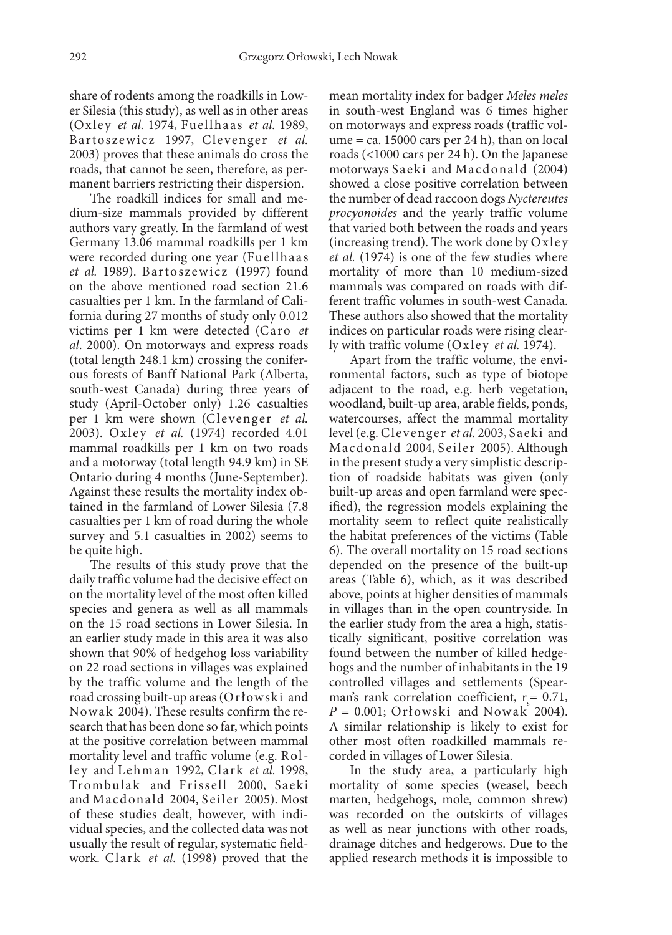share of rodents among the roadkills in Lower Silesia (this study), as well as in other areas (Oxley *et al.* 1974, Fuellhaas *et al.* 1989, Bartoszewicz 1997, Clevenger *et al.* 2003) proves that these animals do cross the roads, that cannot be seen, therefore, as permanent barriers restricting their dispersion.

The roadkill indices for small and medium-size mammals provided by different authors vary greatly. In the farmland of west Germany 13.06 mammal roadkills per 1 km were recorded during one year (Fuellhaas *et al.* 1989). Bartoszewicz (1997) found on the above mentioned road section 21.6 casualties per 1 km. In the farmland of California during 27 months of study only 0.012 victims per 1 km were detected (Caro *et al*. 2000). On motorways and express roads (total length 248.1 km) crossing the coniferous forests of Banff National Park (Alberta, south-west Canada) during three years of study (April-October only) 1.26 casualties per 1 km were shown (Clevenger *et al.* 2003). Oxley *et al.* (1974) recorded 4.01 mammal roadkills per 1 km on two roads and a motorway (total length 94.9 km) in SE Ontario during 4 months (June-September). Against these results the mortality index obtained in the farmland of Lower Silesia (7.8 casualties per 1 km of road during the whole survey and 5.1 casualties in 2002) seems to be quite high.

The results of this study prove that the daily traffic volume had the decisive effect on on the mortality level of the most often killed species and genera as well as all mammals on the 15 road sections in Lower Silesia. In an earlier study made in this area it was also shown that 90% of hedgehog loss variability on 22 road sections in villages was explained by the traffic volume and the length of the road crossing built-up areas (Orłowski and Nowak 2004). These results confirm the research that has been done so far, which points at the positive correlation between mammal mortality level and traffic volume (e.g. Rolley and Lehman 1992, Clark *et al.* 1998, Trombulak and Frissell 2000, Saeki and Macdonald 2004, Seiler 2005). Most of these studies dealt, however, with individual species, and the collected data was not usually the result of regular, systematic fieldwork. Clark *et al.* (1998) proved that the

mean mortality index for badger *Meles meles* in south-west England was 6 times higher on motorways and express roads (traffic vol $ume = ca. 15000 cars per 24 h$ , than on local roads (<1000 cars per 24 h). On the Japanese motorways Saeki and Macdonald (2004) showed a close positive correlation between the number of dead raccoon dogs *Nyctereutes procyonoides* and the yearly traffic volume that varied both between the roads and years (increasing trend). The work done by Oxley *et al.* (1974) is one of the few studies where mortality of more than 10 medium-sized mammals was compared on roads with different traffic volumes in south-west Canada. These authors also showed that the mortality indices on particular roads were rising clearly with traffic volume (Oxley *et al.* 1974).

Apart from the traffic volume, the environmental factors, such as type of biotope adjacent to the road, e.g. herb vegetation, woodland, built-up area, arable fields, ponds, watercourses, affect the mammal mortality level (e.g. Clevenger *et al.* 2003, Saeki and Macdonald 2004, Seiler 2005). Although in the present study a very simplistic description of roadside habitats was given (only built-up areas and open farmland were specified), the regression models explaining the mortality seem to reflect quite realistically the habitat preferences of the victims (Table 6). The overall mortality on 15 road sections depended on the presence of the built-up areas (Table 6), which, as it was described above, points at higher densities of mammals in villages than in the open countryside. In the earlier study from the area a high, statistically significant, positive correlation was found between the number of killed hedgehogs and the number of inhabitants in the 19 controlled villages and settlements (Spearman's rank correlation coefficient,  $r_s = 0.71$ , *P* = 0.001; Orłowski and Nowak 2004). A similar relationship is likely to exist for other most often roadkilled mammals recorded in villages of Lower Silesia.

In the study area, a particularly high mortality of some species (weasel, beech marten, hedgehogs, mole, common shrew) was recorded on the outskirts of villages as well as near junctions with other roads, drainage ditches and hedgerows. Due to the applied research methods it is impossible to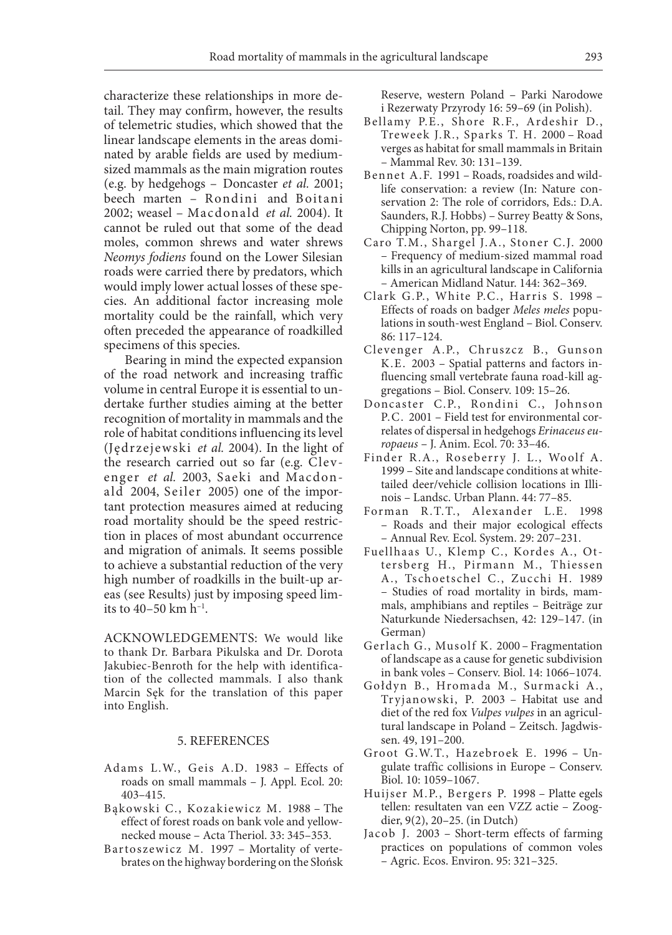characterize these relationships in more detail. They may confirm, however, the results of telemetric studies, which showed that the linear landscape elements in the areas dominated by arable fields are used by mediumsized mammals as the main migration routes (e.g. by hedgehogs – Doncaster *et al.* 2001; beech marten - Rondini and Boitani 2002; weasel – Macdonald *et al.* 2004). It cannot be ruled out that some of the dead moles, common shrews and water shrews *Neomys fodiens* found on the Lower Silesian roads were carried there by predators, which would imply lower actual losses of these species. An additional factor increasing mole mortality could be the rainfall, which very often preceded the appearance of roadkilled specimens of this species.

Bearing in mind the expected expansion of the road network and increasing traffic volume in central Europe it is essential to undertake further studies aiming at the better recognition of mortality in mammals and the role of habitat conditions influencing its level (Jędrzejewski *et al.* 2004). In the light of the research carried out so far (e.g. Clevenger *et al.* 2003, Saeki and Macdonald 2004, Seiler 2005) one of the important protection measures aimed at reducing road mortality should be the speed restriction in places of most abundant occurrence and migration of animals. It seems possible to achieve a substantial reduction of the very high number of roadkills in the built-up areas (see Results) just by imposing speed limits to 40–50 km  $h^{-1}$ .

ACKNOWLEDGEMENTS: We would like to thank Dr. Barbara Pikulska and Dr. Dorota Jakubiec-Benroth for the help with identification of the collected mammals. I also thank Marcin Sęk for the translation of this paper into English.

# 5. REFERENCES

- Adams L.W., Geis A.D. 1983 Effects of roads on small mammals – J. Appl. Ecol. 20: 403–415.
- Bąkowski C., Kozakiewicz M. 1988 The effect of forest roads on bank vole and yellownecked mouse – Acta Theriol. 33: 345–353.
- Bartoszewicz M. 1997 Mortality of vertebrates on the highway bordering on the Słońsk

Reserve, western Poland – Parki Narodowe i Rezerwaty Przyrody 16: 59–69 (in Polish).

- B ellamy P.E., Shore R .F., Ardeshir D., Treweek J.R ., Sparks T. H. 2000 – Road verges as habitat for small mammals in Britain – Mammal Rev. 30: 131–139.
- B ennet A.F. 1991 Roads, roadsides and wildlife conservation: a review (In: Nature conservation 2: The role of corridors, Eds.: D.A. Saunders, R.J. Hobbs) – Surrey Beatty & Sons, Chipping Norton, pp. 99–118.
- Caro T.M., Shargel J.A., Stoner C.J. 2000 – Frequency of medium-sized mammal road kills in an agricultural landscape in California – American Midland Natur. 144: 362–369.
- Clark G.P., White P.C., Harris S. 1998 Effects of roads on badger *Meles meles* populations in south-west England – Biol. Conserv. 86: 117–124.
- Clevenger A.P., Chruszcz B., Gunson K.E. 2003 – Spatial patterns and factors influencing small vertebrate fauna road-kill aggregations – Biol. Conserv. 109: 15–26.
- Doncaster C.P., Rondini C., Johnson P.C. 2001 – Field test for environmental correlates of dispersal in hedgehogs *Erinaceus europaeus* – J. Anim. Ecol. 70: 33–46.
- Finder R.A., Roseberry J. L., Woolf A. 1999 – Site and landscape conditions at whitetailed deer/vehicle collision locations in Illinois – Landsc. Urban Plann. 44: 77–85.
- Forman R.T.T., Alexander L.E. 1998 – Roads and their major ecological effects – Annual Rev. Ecol. System. 29: 207–231.
- Fuellhaas U., Klemp C., Kordes A., Ottersberg H., Pirmann M., Thiessen A., Tschoetschel C., Zucchi H. 1989 – Studies of road mortality in birds, mammals, amphibians and reptiles – Beiträge zur Naturkunde Niedersachsen, 42: 129–147. (in German)
- Gerlach G., Musolf K. 2000 Fragmentation of landscape as a cause for genetic subdivision in bank voles – Conserv. Biol. 14: 1066–1074.
- Gołdyn B., Hromada M., Surmacki A., Tr yjanowski, P. 2003 – Habitat use and diet of the red fox *Vulpes vulpes* in an agricultural landscape in Poland – Zeitsch. Jagdwissen. 49, 191–200.
- Groot G.W.T., Hazebroek E. 1996 Ungulate traffic collisions in Europe – Conserv. Biol. 10: 1059–1067.
- Huijser M.P., B ergers P. 1998 Platte egels tellen: resultaten van een VZZ actie – Zoogdier, 9(2), 20–25. (in Dutch)
- Jacob J. 2003 Short-term effects of farming practices on populations of common voles – Agric. Ecos. Environ. 95: 321–325.